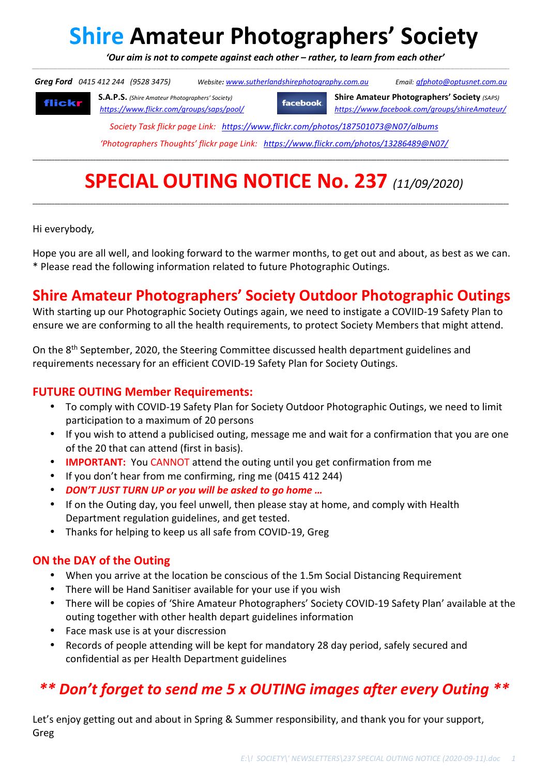# **Shire Amateur Photographers' Society**

 *'Our aim is not to compete against each other – rather, to learn from each other'*  \_\_\_\_\_\_\_\_\_\_\_\_\_\_\_\_\_\_\_\_\_\_\_\_\_\_\_\_\_\_\_\_\_\_\_\_\_\_\_\_\_\_\_\_\_\_\_\_\_\_\_\_\_\_\_\_\_\_\_\_\_\_\_\_\_\_\_\_\_\_\_\_\_\_\_\_\_\_\_\_\_\_\_\_\_\_\_\_\_\_\_\_\_\_\_\_\_\_\_\_\_\_\_\_\_\_\_\_\_\_\_\_\_\_\_\_\_\_\_\_\_\_\_\_\_\_\_\_\_\_\_\_\_\_\_\_\_\_\_\_\_\_\_\_\_\_\_\_\_\_\_\_\_\_\_\_\_\_\_\_\_\_\_\_\_\_\_\_\_\_\_\_\_\_\_\_\_\_\_\_\_\_\_\_\_\_\_\_\_\_\_\_\_\_\_\_\_\_\_\_\_\_\_\_\_\_\_\_\_\_\_\_\_\_\_\_\_\_\_\_\_\_\_\_\_\_\_\_\_\_\_\_\_\_\_\_\_\_\_\_\_\_\_\_\_\_\_\_\_\_\_\_\_\_\_\_\_\_\_\_

 *Greg Ford 0415 412 244 (9528 3475) Website: www.sutherlandshirephotography.com.au Email: gfphoto@optusnet.com.au* 

flickr

**S.A.P.S.** *(Shire Amateur Photographers' Society)* **Shire Amateur Photographers' Society** *(SAPS)* **facebook** *https://www.flickr.com/groups/saps/pool/ https://www.facebook.com/groups/shireAmateur/*

*Society Task flickr page Link: https://www.flickr.com/photos/187501073@N07/albums* 

*'Photographers Thoughts' flickr page Link: https://www.flickr.com/photos/13286489@N07/*

**\_\_\_\_\_\_\_\_\_\_\_\_\_\_\_\_\_\_\_\_\_\_\_\_\_\_\_\_\_\_\_\_\_\_\_\_\_\_\_\_\_\_\_\_\_\_\_\_\_\_\_\_\_\_\_\_\_\_\_\_\_\_\_\_\_\_\_\_\_\_\_\_\_\_\_\_\_\_\_\_\_\_\_\_\_\_\_\_\_\_\_\_\_\_\_\_\_\_\_\_\_\_\_\_\_\_\_\_\_\_\_\_\_\_\_\_\_\_\_\_\_\_\_\_\_\_\_\_\_\_\_\_\_\_\_\_\_\_\_\_\_\_\_\_\_\_\_\_\_\_\_\_\_\_\_\_\_\_\_\_\_\_\_\_\_\_\_\_\_\_\_\_\_** 

# **SPECIAL OUTING NOTICE No. 237** *(11/09/2020)*

**\_\_\_\_\_\_\_\_\_\_\_\_\_\_\_\_\_\_\_\_\_\_\_\_\_\_\_\_\_\_\_\_\_\_\_\_\_\_\_\_\_\_\_\_\_\_\_\_\_\_\_\_\_\_\_\_\_\_\_\_\_\_\_\_\_\_\_\_\_\_\_\_\_\_\_\_\_\_\_\_\_\_\_\_\_\_\_\_\_\_\_\_\_\_\_\_\_\_\_\_\_\_\_\_\_\_\_\_\_\_\_\_\_\_\_\_\_\_\_\_\_\_\_\_\_\_\_\_\_\_\_\_\_\_\_\_\_\_\_\_\_\_\_\_\_\_\_\_\_\_\_\_\_\_\_\_\_\_\_\_\_\_\_\_\_\_\_\_\_\_\_\_\_** 

Hi everybody*,* 

Hope you are all well, and looking forward to the warmer months, to get out and about, as best as we can. \* Please read the following information related to future Photographic Outings.

# **Shire Amateur Photographers' Society Outdoor Photographic Outings**

With starting up our Photographic Society Outings again, we need to instigate a COVIID-19 Safety Plan to ensure we are conforming to all the health requirements, to protect Society Members that might attend.

On the 8<sup>th</sup> September, 2020, the Steering Committee discussed health department guidelines and requirements necessary for an efficient COVID-19 Safety Plan for Society Outings.

#### **FUTURE OUTING Member Requirements:**

- To comply with COVID-19 Safety Plan for Society Outdoor Photographic Outings, we need to limit participation to a maximum of 20 persons
- If you wish to attend a publicised outing, message me and wait for a confirmation that you are one of the 20 that can attend (first in basis).
- **IMPORTANT:** You CANNOT attend the outing until you get confirmation from me
- If you don't hear from me confirming, ring me (0415 412 244)
- *DON'T JUST TURN UP or you will be asked to go home …*
- If on the Outing day, you feel unwell, then please stay at home, and comply with Health Department regulation guidelines, and get tested.
- Thanks for helping to keep us all safe from COVID-19, Greg

#### **ON the DAY of the Outing**

- When you arrive at the location be conscious of the 1.5m Social Distancing Requirement
- There will be Hand Sanitiser available for your use if you wish
- There will be copies of 'Shire Amateur Photographers' Society COVID-19 Safety Plan' available at the outing together with other health depart guidelines information
- Face mask use is at your discression
- Records of people attending will be kept for mandatory 28 day period, safely secured and confidential as per Health Department guidelines

# *\*\* Don't forget to send me 5 x OUTING images after every Outing \*\**

Let's enjoy getting out and about in Spring & Summer responsibility, and thank you for your support, Greg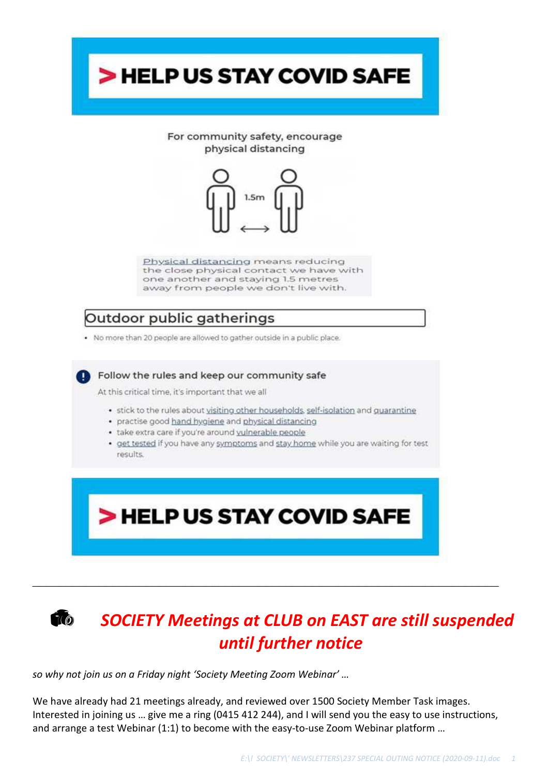

# *SOCIETY Meetings at CLUB on EAST are still suspended until further notice*

*so why not join us on a Friday night 'Society Meeting Zoom Webinar' …* 

We have already had 21 meetings already, and reviewed over 1500 Society Member Task images. Interested in joining us … give me a ring (0415 412 244), and I will send you the easy to use instructions, and arrange a test Webinar (1:1) to become with the easy-to-use Zoom Webinar platform …

\_\_\_\_\_\_\_\_\_\_\_\_\_\_\_\_\_\_\_\_\_\_\_\_\_\_\_\_\_\_\_\_\_\_\_\_\_\_\_\_\_\_\_\_\_\_\_\_\_\_\_\_\_\_\_\_\_\_\_\_\_\_\_\_\_\_\_\_\_\_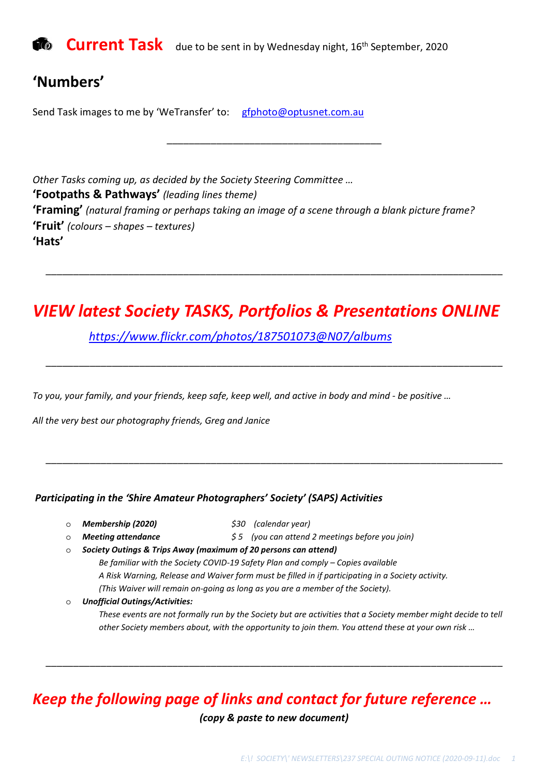

### **'Numbers'**

Send Task images to me by 'WeTransfer' to: gfphoto@optusnet.com.au

*Other Tasks coming up, as decided by the Society Steering Committee …*  **'Footpaths & Pathways'** *(leading lines theme)* **'Framing'** *(natural framing or perhaps taking an image of a scene through a blank picture frame?* **'Fruit'** *(colours – shapes – textures)*  **'Hats'** 

\_\_\_\_\_\_\_\_\_\_\_\_\_\_\_\_\_\_\_\_\_\_\_\_\_\_\_\_\_\_\_\_\_\_\_\_\_\_\_

## *VIEW latest Society TASKS, Portfolios & Presentations ONLINE*

\_\_\_\_\_\_\_\_\_\_\_\_\_\_\_\_\_\_\_\_\_\_\_\_\_\_\_\_\_\_\_\_\_\_\_\_\_\_\_\_\_\_\_\_\_\_\_\_\_\_\_\_\_\_\_\_\_\_\_\_\_\_\_\_\_\_\_\_\_\_\_\_\_\_\_\_\_\_\_\_\_\_\_

\_\_\_\_\_\_\_\_\_\_\_\_\_\_\_\_\_\_\_\_\_\_\_\_\_\_\_\_\_\_\_\_\_\_\_\_\_\_\_\_\_\_\_\_\_\_\_\_\_\_\_\_\_\_\_\_\_\_\_\_\_\_\_\_\_\_\_\_\_\_\_\_\_\_\_\_\_\_\_\_\_\_\_

 *https://www.flickr.com/photos/187501073@N07/albums*

*To you, your family, and your friends, keep safe, keep well, and active in body and mind - be positive …* 

*All the very best our photography friends, Greg and Janice* 

#### *Participating in the 'Shire Amateur Photographers' Society' (SAPS) Activities*

- o *Membership (2020) \$30 (calendar year)*
- 

\_\_\_\_\_\_\_\_\_\_\_\_\_\_\_\_\_\_\_\_\_\_\_\_\_\_\_\_\_\_\_\_\_\_\_\_\_\_\_\_\_\_\_\_\_\_\_\_\_\_\_\_\_\_\_\_\_\_\_\_\_\_\_\_\_\_\_\_\_\_\_\_\_\_\_\_\_\_\_\_\_\_\_

- 
- 
- 
- o *Meeting attendance \$ 5 (you can attend 2 meetings before you join)*  o *Society Outings & Trips Away (maximum of 20 persons can attend)* 
	- *Be familiar with the Society COVID-19 Safety Plan and comply Copies available A Risk Warning, Release and Waiver form must be filled in if participating in a Society activity. (This Waiver will remain on-going as long as you are a member of the Society).*
	- o *Unofficial Outings/Activities:*

*These events are not formally run by the Society but are activities that a Society member might decide to tell other Society members about, with the opportunity to join them. You attend these at your own risk …* 

### *Keep the following page of links and contact for future reference …*

*(copy & paste to new document)* 

\_\_\_\_\_\_\_\_\_\_\_\_\_\_\_\_\_\_\_\_\_\_\_\_\_\_\_\_\_\_\_\_\_\_\_\_\_\_\_\_\_\_\_\_\_\_\_\_\_\_\_\_\_\_\_\_\_\_\_\_\_\_\_\_\_\_\_\_\_\_\_\_\_\_\_\_\_\_\_\_\_\_\_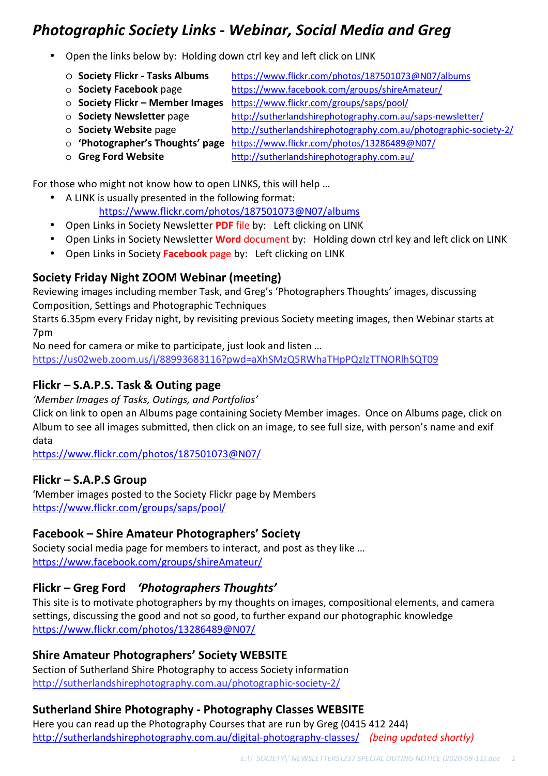## *Photographic Society Links - Webinar, Social Media and Greg*

- Open the links below by: Holding down ctrl key and left click on LINK
	- o **Society Flickr Tasks Albums**https://www.flickr.com/photos/187501073@N07/albums
	-

o **Society Facebook** page https://www.facebook.com/groups/shireAmateur/

- o **Society Flickr Member Images** https://www.flickr.com/groups/saps/pool/ o **Society Newsletter** page http://sutherlandshirephotography.com.au/saps-newsletter/
	-
	- o **Society Website** pagehttp://sutherlandshirephotography.com.au/photographic-society-2/
	- o **'Photographer's Thoughts' page** https://www.flickr.com/photos/13286489@N07/
	- o **Greg Ford Website** http://sutherlandshirephotography.com.au/

For those who might not know how to open LINKS, this will help …

- A LINK is usually presented in the following format: https://www.flickr.com/photos/187501073@N07/albums
- Open Links in Society Newsletter **PDF** file by: Left clicking on LINK
- Open Links in Society Newsletter **Word** document by: Holding down ctrl key and left click on LINK
- Open Links in Society **Facebook** page by: Left clicking on LINK

#### **Society Friday Night ZOOM Webinar (meeting)**

Reviewing images including member Task, and Greg's 'Photographers Thoughts' images, discussing Composition, Settings and Photographic Techniques

Starts 6.35pm every Friday night, by revisiting previous Society meeting images, then Webinar starts at 7pm

No need for camera or mike to participate, just look and listen …

https://us02web.zoom.us/j/88993683116?pwd=aXhSMzQ5RWhaTHpPQzlzTTNORlhSQT09

#### **Flickr – S.A.P.S. Task & Outing page**

*'Member Images of Tasks, Outings, and Portfolios'* 

Click on link to open an Albums page containing Society Member images. Once on Albums page, click on Album to see all images submitted, then click on an image, to see full size, with person's name and exif data

https://www.flickr.com/photos/187501073@N07/

#### **Flickr – S.A.P.S Group**

'Member images posted to the Society Flickr page by Members https://www.flickr.com/groups/saps/pool/

#### **Facebook – Shire Amateur Photographers' Society**

Society social media page for members to interact, and post as they like … https://www.facebook.com/groups/shireAmateur/

#### **Flickr – Greg Ford** *'Photographers Thoughts'*

This site is to motivate photographers by my thoughts on images, compositional elements, and camera settings, discussing the good and not so good, to further expand our photographic knowledge https://www.flickr.com/photos/13286489@N07/

#### **Shire Amateur Photographers' Society WEBSITE**

Section of Sutherland Shire Photography to access Society information http://sutherlandshirephotography.com.au/photographic-society-2/

#### **Sutherland Shire Photography - Photography Classes WEBSITE**

Here you can read up the Photography Courses that are run by Greg (0415 412 244) http://sutherlandshirephotography.com.au/digital-photography-classes/ *(being updated shortly)*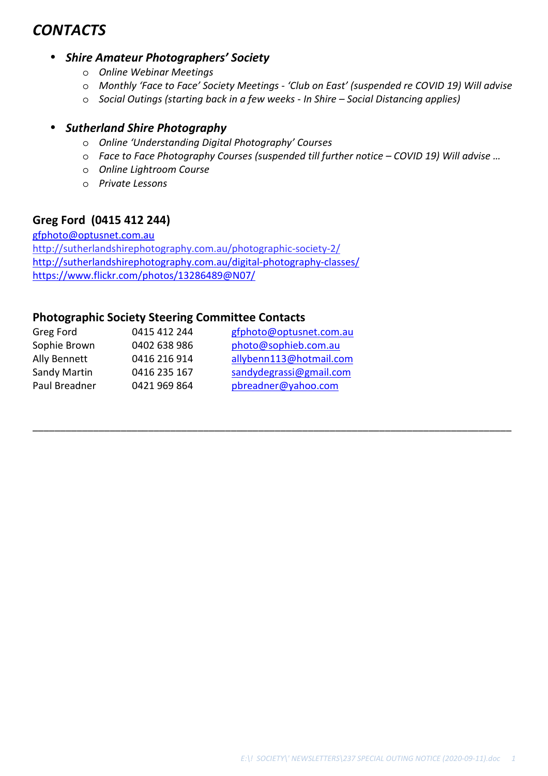## *CONTACTS*

#### • *Shire Amateur Photographers' Society*

- o *Online Webinar Meetings*
- o *Monthly 'Face to Face' Society Meetings 'Club on East' (suspended re COVID 19) Will advise*
- o *Social Outings (starting back in a few weeks In Shire Social Distancing applies)*

\_\_\_\_\_\_\_\_\_\_\_\_\_\_\_\_\_\_\_\_\_\_\_\_\_\_\_\_\_\_\_\_\_\_\_\_\_\_\_\_\_\_\_\_\_\_\_\_\_\_\_\_\_\_\_\_\_\_\_\_\_\_\_\_\_\_\_\_\_\_\_\_\_\_\_\_\_\_\_\_\_\_\_\_\_\_\_

#### • *Sutherland Shire Photography*

- o *Online 'Understanding Digital Photography' Courses*
- o *Face to Face Photography Courses (suspended till further notice COVID 19) Will advise …*
- o *Online Lightroom Course*
- o *Private Lessons*

#### **Greg Ford (0415 412 244)**

gfphoto@optusnet.com.au http://sutherlandshirephotography.com.au/photographic-society-2/ http://sutherlandshirephotography.com.au/digital-photography-classes/ https://www.flickr.com/photos/13286489@N07/

#### **Photographic Society Steering Committee Contacts**

| Greg Ford     | 0415 412 244 | gfphoto@optusnet.com.au |
|---------------|--------------|-------------------------|
| Sophie Brown  | 0402 638 986 | photo@sophieb.com.au    |
| Ally Bennett  | 0416 216 914 | allybenn113@hotmail.com |
| Sandy Martin  | 0416 235 167 | sandydegrassi@gmail.com |
| Paul Breadner | 0421 969 864 | pbreadner@yahoo.com     |
|               |              |                         |